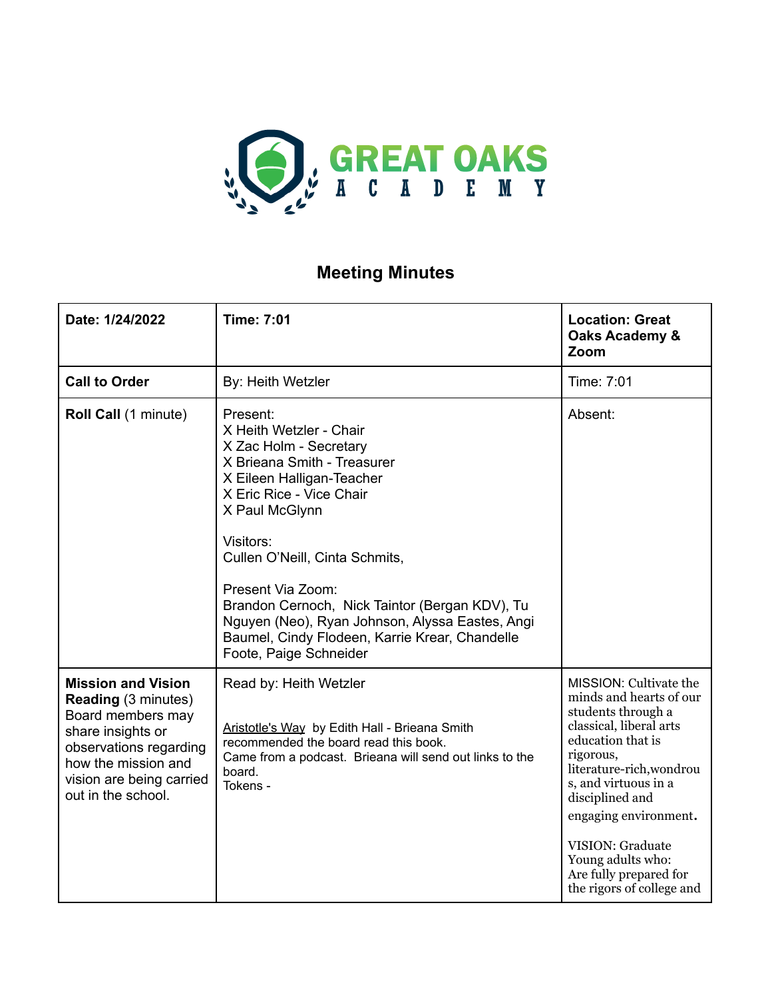

## **Meeting Minutes**

| Date: 1/24/2022                                                                                                                                                                                      | <b>Time: 7:01</b>                                                                                                                                                                                                                                                                                                                                                                                                            | <b>Location: Great</b><br>Oaks Academy &<br>Zoom                                                                                                                                                                                                                                                                                            |
|------------------------------------------------------------------------------------------------------------------------------------------------------------------------------------------------------|------------------------------------------------------------------------------------------------------------------------------------------------------------------------------------------------------------------------------------------------------------------------------------------------------------------------------------------------------------------------------------------------------------------------------|---------------------------------------------------------------------------------------------------------------------------------------------------------------------------------------------------------------------------------------------------------------------------------------------------------------------------------------------|
| <b>Call to Order</b>                                                                                                                                                                                 | By: Heith Wetzler                                                                                                                                                                                                                                                                                                                                                                                                            | Time: 7:01                                                                                                                                                                                                                                                                                                                                  |
| Roll Call (1 minute)                                                                                                                                                                                 | Present:<br>X Heith Wetzler - Chair<br>X Zac Holm - Secretary<br>X Brieana Smith - Treasurer<br>X Eileen Halligan-Teacher<br>X Eric Rice - Vice Chair<br>X Paul McGlynn<br>Visitors:<br>Cullen O'Neill, Cinta Schmits,<br>Present Via Zoom:<br>Brandon Cernoch, Nick Taintor (Bergan KDV), Tu<br>Nguyen (Neo), Ryan Johnson, Alyssa Eastes, Angi<br>Baumel, Cindy Flodeen, Karrie Krear, Chandelle<br>Foote, Paige Schneider | Absent:                                                                                                                                                                                                                                                                                                                                     |
| <b>Mission and Vision</b><br><b>Reading (3 minutes)</b><br>Board members may<br>share insights or<br>observations regarding<br>how the mission and<br>vision are being carried<br>out in the school. | Read by: Heith Wetzler<br>Aristotle's Way by Edith Hall - Brieana Smith<br>recommended the board read this book.<br>Came from a podcast. Brieana will send out links to the<br>board.<br>Tokens -                                                                                                                                                                                                                            | MISSION: Cultivate the<br>minds and hearts of our<br>students through a<br>classical, liberal arts<br>education that is<br>rigorous,<br>literature-rich, wondrou<br>s, and virtuous in a<br>disciplined and<br>engaging environment.<br><b>VISION: Graduate</b><br>Young adults who:<br>Are fully prepared for<br>the rigors of college and |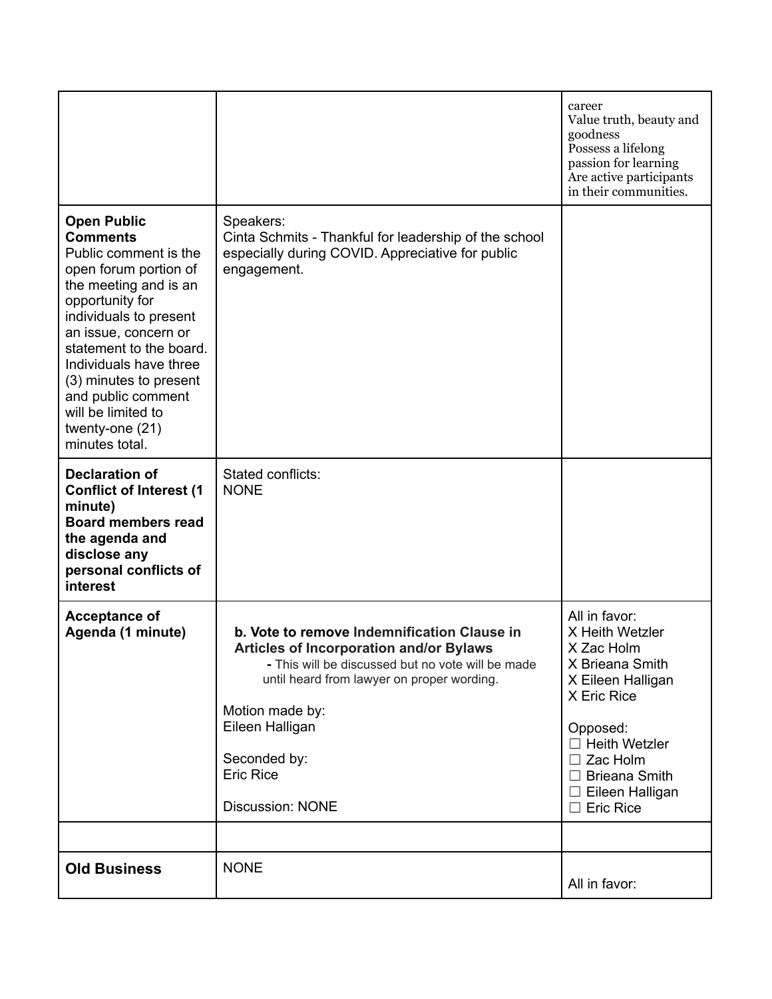|                                                                                                                                                                                                                                                                                                                                                       |                                                                                                                                                                                                                                                                                                       | career<br>Value truth, beauty and<br>goodness<br>Possess a lifelong<br>passion for learning<br>Are active participants<br>in their communities.                                                                                    |
|-------------------------------------------------------------------------------------------------------------------------------------------------------------------------------------------------------------------------------------------------------------------------------------------------------------------------------------------------------|-------------------------------------------------------------------------------------------------------------------------------------------------------------------------------------------------------------------------------------------------------------------------------------------------------|------------------------------------------------------------------------------------------------------------------------------------------------------------------------------------------------------------------------------------|
| <b>Open Public</b><br><b>Comments</b><br>Public comment is the<br>open forum portion of<br>the meeting and is an<br>opportunity for<br>individuals to present<br>an issue, concern or<br>statement to the board.<br>Individuals have three<br>(3) minutes to present<br>and public comment<br>will be limited to<br>twenty-one (21)<br>minutes total. | Speakers:<br>Cinta Schmits - Thankful for leadership of the school<br>especially during COVID. Appreciative for public<br>engagement.                                                                                                                                                                 |                                                                                                                                                                                                                                    |
| <b>Declaration of</b><br><b>Conflict of Interest (1</b><br>minute)<br><b>Board members read</b><br>the agenda and<br>disclose any<br>personal conflicts of<br>interest                                                                                                                                                                                | Stated conflicts:<br><b>NONE</b>                                                                                                                                                                                                                                                                      |                                                                                                                                                                                                                                    |
| <b>Acceptance of</b><br>Agenda (1 minute)                                                                                                                                                                                                                                                                                                             | b. Vote to remove Indemnification Clause in<br><b>Articles of Incorporation and/or Bylaws</b><br>- This will be discussed but no vote will be made<br>until heard from lawyer on proper wording.<br>Motion made by:<br>Eileen Halligan<br>Seconded by:<br><b>Eric Rice</b><br><b>Discussion: NONE</b> | All in favor:<br>X Heith Wetzler<br>X Zac Holm<br>X Brieana Smith<br>X Eileen Halligan<br>X Eric Rice<br>Opposed:<br>$\Box$ Heith Wetzler<br>$\Box$ Zac Holm<br>$\Box$ Brieana Smith<br>$\Box$ Eileen Halligan<br>$\Box$ Eric Rice |
|                                                                                                                                                                                                                                                                                                                                                       |                                                                                                                                                                                                                                                                                                       |                                                                                                                                                                                                                                    |
| <b>Old Business</b>                                                                                                                                                                                                                                                                                                                                   | <b>NONE</b>                                                                                                                                                                                                                                                                                           | All in favor:                                                                                                                                                                                                                      |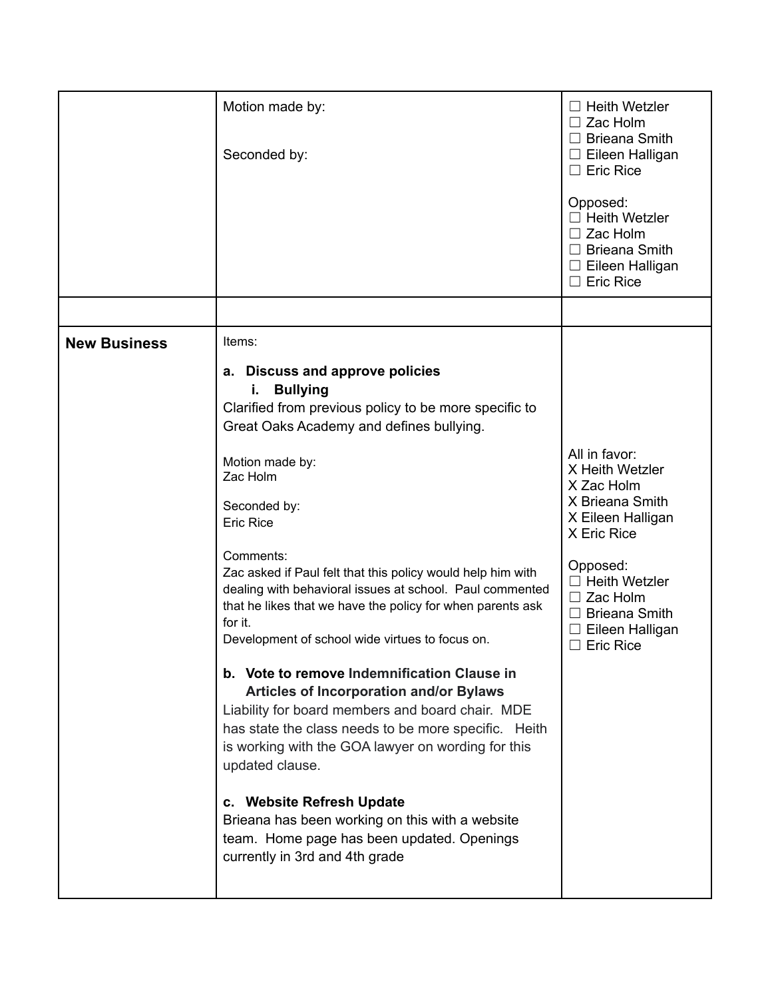|                     | Motion made by:<br>Seconded by:                                                                                                                                                                                                                                                                                                                                                                                                                                                                                                                                                                                                                                                                                                                                                                      | $\Box$ Heith Wetzler<br>$\Box$ Zac Holm<br>$\Box$ Brieana Smith<br>$\Box$ Eileen Halligan<br>$\Box$ Eric Rice<br>Opposed:<br>$\Box$ Heith Wetzler<br>$\Box$ Zac Holm<br>$\Box$ Brieana Smith<br>$\Box$ Eileen Halligan<br>$\Box$ Eric Rice |
|---------------------|------------------------------------------------------------------------------------------------------------------------------------------------------------------------------------------------------------------------------------------------------------------------------------------------------------------------------------------------------------------------------------------------------------------------------------------------------------------------------------------------------------------------------------------------------------------------------------------------------------------------------------------------------------------------------------------------------------------------------------------------------------------------------------------------------|--------------------------------------------------------------------------------------------------------------------------------------------------------------------------------------------------------------------------------------------|
|                     |                                                                                                                                                                                                                                                                                                                                                                                                                                                                                                                                                                                                                                                                                                                                                                                                      |                                                                                                                                                                                                                                            |
| <b>New Business</b> | Items:<br>a. Discuss and approve policies<br><b>Bullying</b><br>i.<br>Clarified from previous policy to be more specific to<br>Great Oaks Academy and defines bullying.<br>Motion made by:<br>Zac Holm<br>Seconded by:<br><b>Eric Rice</b><br>Comments:<br>Zac asked if Paul felt that this policy would help him with<br>dealing with behavioral issues at school. Paul commented<br>that he likes that we have the policy for when parents ask<br>for it.<br>Development of school wide virtues to focus on.<br>b. Vote to remove Indemnification Clause in<br><b>Articles of Incorporation and/or Bylaws</b><br>Liability for board members and board chair. MDE<br>has state the class needs to be more specific. Heith<br>is working with the GOA lawyer on wording for this<br>updated clause. | All in favor:<br>X Heith Wetzler<br>X Zac Holm<br>X Brieana Smith<br>X Eileen Halligan<br>X Eric Rice<br>Opposed:<br>$\Box$ Heith Wetzler<br>$\Box$ Zac Holm<br>$\Box$ Brieana Smith<br>$\Box$ Eileen Halligan<br>$\Box$ Eric Rice         |
|                     | c. Website Refresh Update<br>Brieana has been working on this with a website<br>team. Home page has been updated. Openings<br>currently in 3rd and 4th grade                                                                                                                                                                                                                                                                                                                                                                                                                                                                                                                                                                                                                                         |                                                                                                                                                                                                                                            |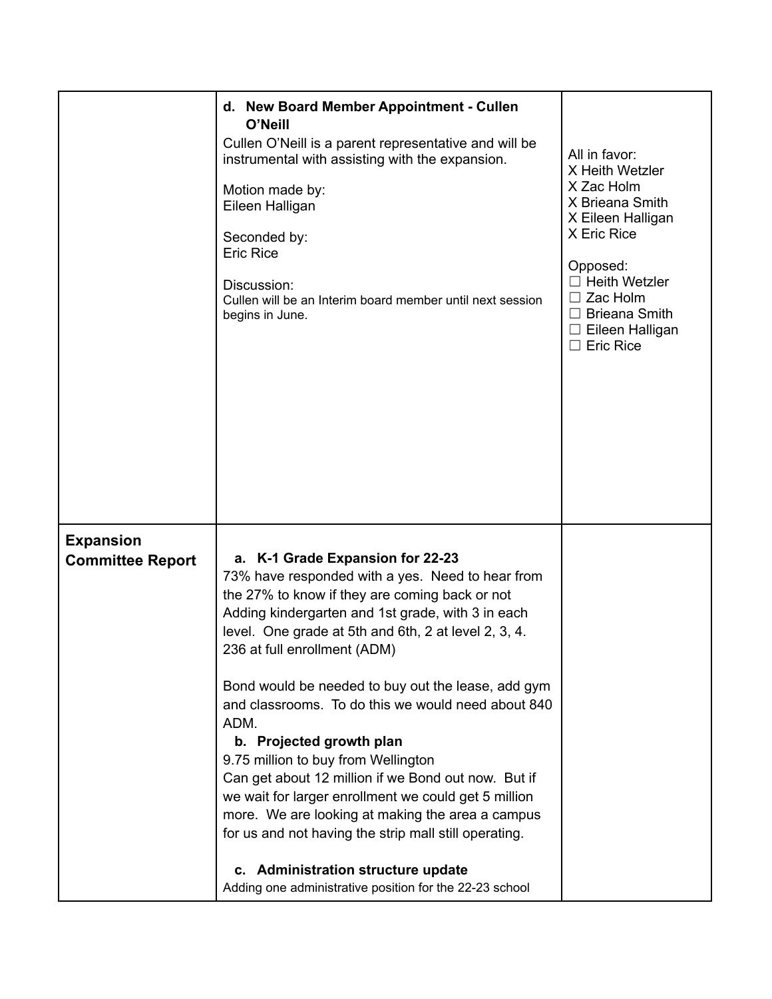|                                             | d. New Board Member Appointment - Cullen<br>O'Neill<br>Cullen O'Neill is a parent representative and will be<br>instrumental with assisting with the expansion.<br>Motion made by:<br>Eileen Halligan<br>Seconded by:<br><b>Eric Rice</b><br>Discussion:<br>Cullen will be an Interim board member until next session<br>begins in June.                                                                                                                                                                                                                                                                                                                                                                                                                                                                | All in favor:<br>X Heith Wetzler<br>X Zac Holm<br>X Brieana Smith<br>X Eileen Halligan<br>X Eric Rice<br>Opposed:<br>$\Box$ Heith Wetzler<br>$\Box$ Zac Holm<br>$\Box$ Brieana Smith<br>$\Box$ Eileen Halligan<br>$\Box$ Eric Rice |
|---------------------------------------------|---------------------------------------------------------------------------------------------------------------------------------------------------------------------------------------------------------------------------------------------------------------------------------------------------------------------------------------------------------------------------------------------------------------------------------------------------------------------------------------------------------------------------------------------------------------------------------------------------------------------------------------------------------------------------------------------------------------------------------------------------------------------------------------------------------|------------------------------------------------------------------------------------------------------------------------------------------------------------------------------------------------------------------------------------|
| <b>Expansion</b><br><b>Committee Report</b> | a. K-1 Grade Expansion for 22-23<br>73% have responded with a yes. Need to hear from<br>the 27% to know if they are coming back or not<br>Adding kindergarten and 1st grade, with 3 in each<br>level. One grade at 5th and 6th, 2 at level 2, 3, 4.<br>236 at full enrollment (ADM)<br>Bond would be needed to buy out the lease, add gym<br>and classrooms. To do this we would need about 840<br>ADM.<br>b. Projected growth plan<br>9.75 million to buy from Wellington<br>Can get about 12 million if we Bond out now. But if<br>we wait for larger enrollment we could get 5 million<br>more. We are looking at making the area a campus<br>for us and not having the strip mall still operating.<br>c. Administration structure update<br>Adding one administrative position for the 22-23 school |                                                                                                                                                                                                                                    |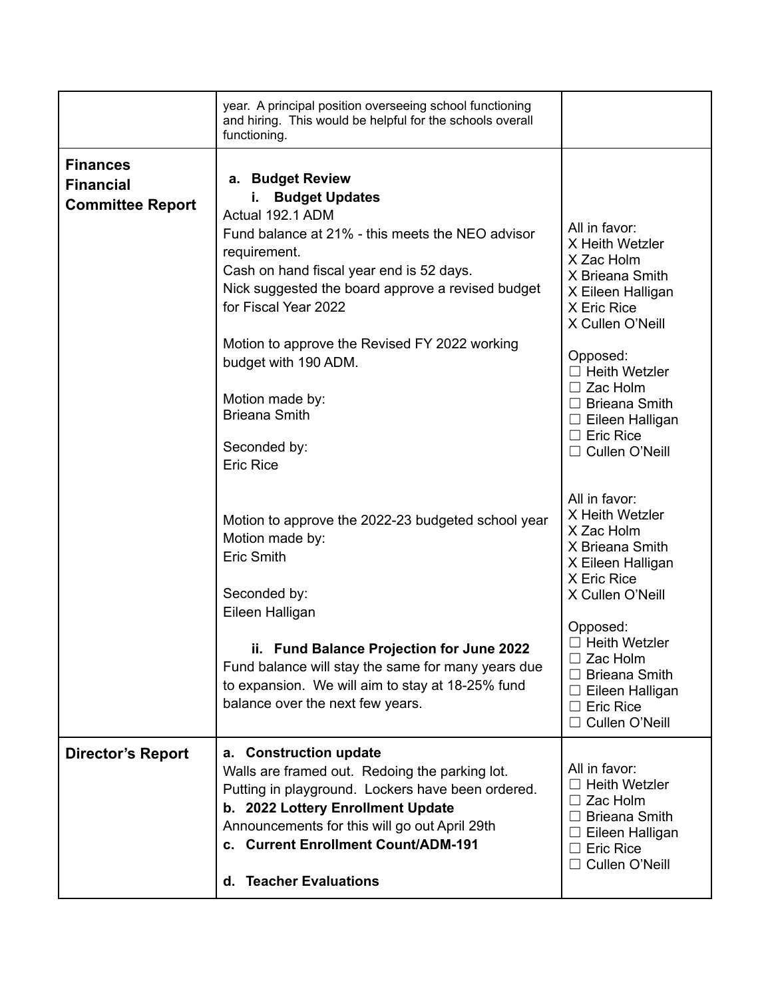| <b>Finances</b>          | year. A principal position overseeing school functioning<br>and hiring. This would be helpful for the schools overall<br>functioning.                                                                                                                                                          |                                                                                                                                                    |
|--------------------------|------------------------------------------------------------------------------------------------------------------------------------------------------------------------------------------------------------------------------------------------------------------------------------------------|----------------------------------------------------------------------------------------------------------------------------------------------------|
| <b>Financial</b>         | a. Budget Review                                                                                                                                                                                                                                                                               |                                                                                                                                                    |
| <b>Committee Report</b>  | <b>Budget Updates</b><br>i.                                                                                                                                                                                                                                                                    |                                                                                                                                                    |
|                          | Actual 192.1 ADM<br>Fund balance at 21% - this meets the NEO advisor<br>requirement.<br>Cash on hand fiscal year end is 52 days.<br>Nick suggested the board approve a revised budget<br>for Fiscal Year 2022                                                                                  | All in favor:<br>X Heith Wetzler<br>X Zac Holm<br>X Brieana Smith<br>X Eileen Halligan<br>X Eric Rice<br>X Cullen O'Neill                          |
|                          | Motion to approve the Revised FY 2022 working<br>budget with 190 ADM.                                                                                                                                                                                                                          | Opposed:<br>$\Box$ Heith Wetzler                                                                                                                   |
|                          | Motion made by:<br><b>Brieana Smith</b>                                                                                                                                                                                                                                                        | $\Box$ Zac Holm<br>$\Box$ Brieana Smith<br>$\Box$ Eileen Halligan                                                                                  |
|                          | Seconded by:<br><b>Eric Rice</b>                                                                                                                                                                                                                                                               | $\Box$ Eric Rice<br>$\Box$ Cullen O'Neill                                                                                                          |
|                          | Motion to approve the 2022-23 budgeted school year<br>Motion made by:<br><b>Eric Smith</b><br>Seconded by:                                                                                                                                                                                     | All in favor:<br>X Heith Wetzler<br>X Zac Holm<br>X Brieana Smith<br>X Eileen Halligan<br>X Eric Rice<br>X Cullen O'Neill                          |
|                          | Eileen Halligan                                                                                                                                                                                                                                                                                | Opposed:                                                                                                                                           |
|                          | ii. Fund Balance Projection for June 2022<br>Fund balance will stay the same for many years due<br>to expansion. We will aim to stay at 18-25% fund<br>balance over the next few years.                                                                                                        | $\Box$ Heith Wetzler<br>Zac Holm<br>$\Box$ Brieana Smith<br>$\Box$ Eileen Halligan<br>$\Box$ Eric Rice<br>Cullen O'Neill                           |
| <b>Director's Report</b> | a. Construction update<br>Walls are framed out. Redoing the parking lot.<br>Putting in playground. Lockers have been ordered.<br>b. 2022 Lottery Enrollment Update<br>Announcements for this will go out April 29th<br>c. Current Enrollment Count/ADM-191<br><b>Teacher Evaluations</b><br>d. | All in favor:<br>$\sqsupset$ Heith Wetzler<br>Zac Holm<br><b>Brieana Smith</b><br>Eileen Halligan<br>$\Box$ Eric Rice<br>Cullen O'Neill<br>$\perp$ |